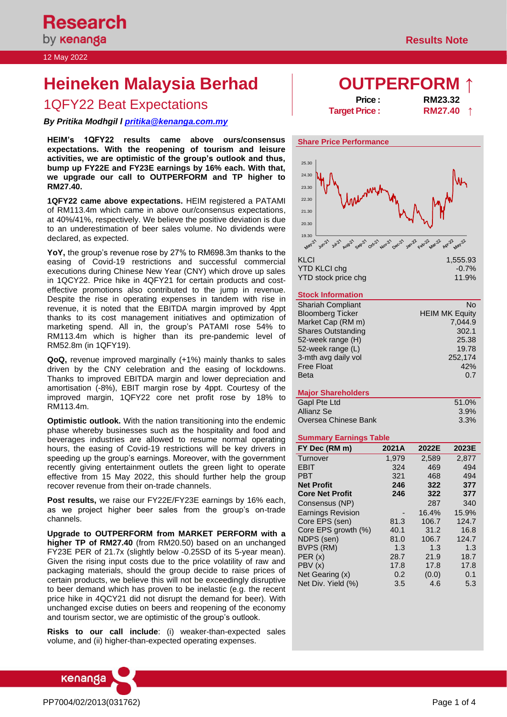#### 12 May 2022

# **Heineken Malaysia Berhad Malaysia Berhad Malaysia Berhad**

## 1QFY22 Beat Expectations **Price : RM23.32**<br>Target Price : **RM27.40**

*By Pritika Modhgil l [pritika@kenanga.com.my](mailto:pritika@kenanga.com.my)*

**HEIM's 1QFY22 results came above ours/consensus expectations. With the reopening of tourism and leisure activities, we are optimistic of the group's outlook and thus, bump up FY22E and FY23E earnings by 16% each. With that, we upgrade our call to OUTPERFORM and TP higher to RM27.40.** 

**1QFY22 came above expectations.** HEIM registered a PATAMI of RM113.4m which came in above our/consensus expectations, at 40%/41%, respectively. We believe the positive deviation is due to an underestimation of beer sales volume. No dividends were declared, as expected.

**YoY,** the group's revenue rose by 27% to RM698.3m thanks to the easing of Covid-19 restrictions and successful commercial executions during Chinese New Year (CNY) which drove up sales in 1QCY22. Price hike in 4QFY21 for certain products and costeffective promotions also contributed to the jump in revenue. Despite the rise in operating expenses in tandem with rise in revenue, it is noted that the EBITDA margin improved by 4ppt thanks to its cost management initiatives and optimization of marketing spend. All in, the group's PATAMI rose 54% to RM113.4m which is higher than its pre-pandemic level of RM52.8m (in 1QFY19).

**QoQ,** revenue improved marginally (+1%) mainly thanks to sales driven by the CNY celebration and the easing of lockdowns. Thanks to improved EBITDA margin and lower depreciation and amortisation (-8%), EBIT margin rose by 4ppt. Courtesy of the improved margin, 1QFY22 core net profit rose by 18% to RM113.4m.

**Optimistic outlook.** With the nation transitioning into the endemic phase whereby businesses such as the hospitality and food and beverages industries are allowed to resume normal operating hours, the easing of Covid-19 restrictions will be key drivers in speeding up the group's earnings. Moreover, with the government recently giving entertainment outlets the green light to operate effective from 15 May 2022, this should further help the group recover revenue from their on-trade channels.

**Post results,** we raise our FY22E/FY23E earnings by 16% each, as we project higher beer sales from the group's on-trade channels.

**Upgrade to OUTPERFORM from MARKET PERFORM with a higher TP of RM27.40** (from RM20.50) based on an unchanged FY23E PER of 21.7x (slightly below -0.25SD of its 5-year mean). Given the rising input costs due to the price volatility of raw and packaging materials, should the group decide to raise prices of certain products, we believe this will not be exceedingly disruptive to beer demand which has proven to be inelastic (e.g. the recent price hike in 4QCY21 did not disrupt the demand for beer). With unchanged excise duties on beers and reopening of the economy and tourism sector, we are optimistic of the group's outlook.

**Risks to our call include**: (i) weaker-than-expected sales volume, and (ii) higher-than-expected operating expenses.



**Target Price :** 





#### **Stock Information**

| <b>Shariah Compliant</b>  | No                    |
|---------------------------|-----------------------|
| <b>Bloomberg Ticker</b>   | <b>HEIM MK Equity</b> |
| Market Cap (RM m)         | 7,044.9               |
| <b>Shares Outstanding</b> | 302.1                 |
| 52-week range (H)         | 25.38                 |
| 52-week range (L)         | 19.78                 |
| 3-mth avg daily vol       | 252,174               |
| <b>Free Float</b>         | 42%                   |
| <b>Beta</b>               | 0.7                   |

#### **Major Shareholders**

| Gapl Pte Ltd         | 51.0%   |
|----------------------|---------|
| Allianz Se           | 3.9%    |
| Oversea Chinese Bank | $3.3\%$ |

#### **Summary Earnings Table**

| FY Dec (RM m)            | 2021A | 2022E | 2023E |
|--------------------------|-------|-------|-------|
| Turnover                 | 1,979 | 2,589 | 2,877 |
| <b>EBIT</b>              | 324   | 469   | 494   |
| <b>PBT</b>               | 321   | 468   | 494   |
| <b>Net Profit</b>        | 246   | 322   | 377   |
| <b>Core Net Profit</b>   | 246   | 322   | 377   |
| Consensus (NP)           |       | 287   | 340   |
| <b>Earnings Revision</b> |       | 16.4% | 15.9% |
| Core EPS (sen)           | 81.3  | 106.7 | 124.7 |
| Core EPS growth (%)      | 40.1  | 31.2  | 16.8  |
| NDPS (sen)               | 81.0  | 106.7 | 124.7 |
| BVPS (RM)                | 1.3   | 1.3   | 1.3   |
| PER(x)                   | 28.7  | 21.9  | 18.7  |
| PBV(x)                   | 17.8  | 17.8  | 17.8  |
| Net Gearing (x)          | 0.2   | (0.0) | 0.1   |
| Net Div. Yield (%)       | 3.5   | 4.6   | 5.3   |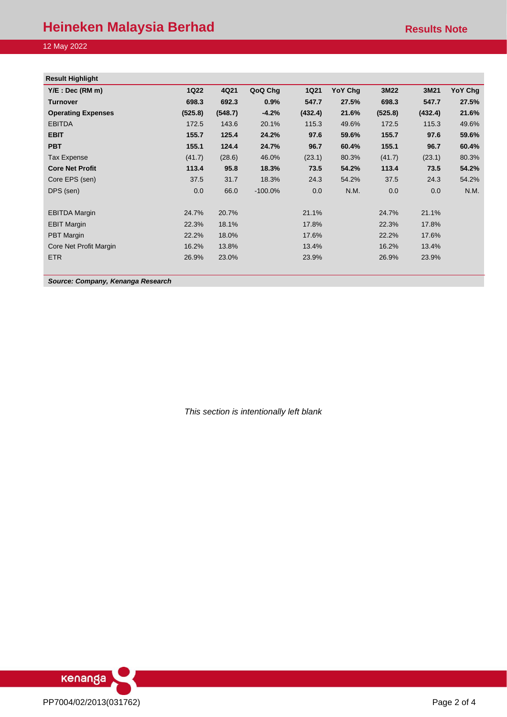### **Heineken Malaysia Berhad Results Note** Results Note

#### 12 May 2022

| <b>1Q22</b> | 4Q21    | QoQ Chg    | <b>1Q21</b> | YoY Chg | 3M22    | 3M21    | YoY Chg |
|-------------|---------|------------|-------------|---------|---------|---------|---------|
| 698.3       | 692.3   | 0.9%       | 547.7       | 27.5%   | 698.3   | 547.7   | 27.5%   |
| (525.8)     | (548.7) | $-4.2%$    | (432.4)     | 21.6%   | (525.8) | (432.4) | 21.6%   |
| 172.5       | 143.6   | 20.1%      | 115.3       | 49.6%   | 172.5   | 115.3   | 49.6%   |
| 155.7       | 125.4   | 24.2%      | 97.6        | 59.6%   | 155.7   | 97.6    | 59.6%   |
| 155.1       | 124.4   | 24.7%      | 96.7        | 60.4%   | 155.1   | 96.7    | 60.4%   |
| (41.7)      | (28.6)  | 46.0%      | (23.1)      | 80.3%   | (41.7)  | (23.1)  | 80.3%   |
| 113.4       | 95.8    | 18.3%      | 73.5        | 54.2%   | 113.4   | 73.5    | 54.2%   |
| 37.5        | 31.7    | 18.3%      | 24.3        | 54.2%   | 37.5    | 24.3    | 54.2%   |
| 0.0         | 66.0    | $-100.0\%$ | 0.0         | N.M.    | 0.0     | 0.0     | N.M.    |
| 24.7%       | 20.7%   |            | 21.1%       |         | 24.7%   | 21.1%   |         |
| 22.3%       | 18.1%   |            | 17.8%       |         | 22.3%   | 17.8%   |         |
| 22.2%       | 18.0%   |            | 17.6%       |         | 22.2%   | 17.6%   |         |
| 16.2%       | 13.8%   |            | 13.4%       |         | 16.2%   | 13.4%   |         |
| 26.9%       | 23.0%   |            | 23.9%       |         | 26.9%   | 23.9%   |         |
|             |         |            |             |         |         |         |         |

*Source: Company, Kenanga Research*

*This section is intentionally left blank*

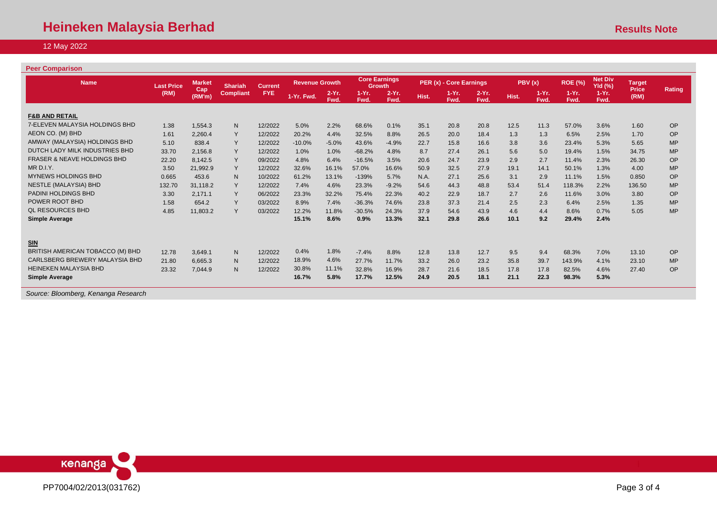### 12 May 2022

#### **Peer Comparison**

| <b>Name</b>                            | <b>Last Price</b> | <b>Market</b> | <b>Shariah</b>          | <b>Current</b> | <b>Revenue Growth</b> |                 | <b>Core Earnings</b><br><b>Growth</b> |                  | PER (x) - Core Earnings |                  |                  | PBV(x) |                 | <b>ROE (%)</b>  | <b>Net Div</b><br><b>Yld (%)</b> | <b>Target</b>        |               |
|----------------------------------------|-------------------|---------------|-------------------------|----------------|-----------------------|-----------------|---------------------------------------|------------------|-------------------------|------------------|------------------|--------|-----------------|-----------------|----------------------------------|----------------------|---------------|
|                                        | (RM)              | Cap<br>(RM'm) | <b>FYE</b><br>Compliant |                | 1-Yr. Fwd.            | $2-Yr.$<br>Fwd. | $1-Yr$ .<br>Fwd.                      | $2-Yr$ .<br>Fwd. | Hist.                   | $1-Yr$ .<br>Fwd. | $2-Yr$ .<br>Fwd. | Hist.  | $1-Yr.$<br>Fwd. | $1-Yr.$<br>Fwd. | $1-Yr.$<br>Fwd.                  | <b>Price</b><br>(RM) | <b>Rating</b> |
|                                        |                   |               |                         |                |                       |                 |                                       |                  |                         |                  |                  |        |                 |                 |                                  |                      |               |
| <b>F&amp;B AND RETAIL</b>              |                   |               |                         |                |                       |                 |                                       |                  |                         |                  |                  |        |                 |                 |                                  |                      |               |
| 7-ELEVEN MALAYSIA HOLDINGS BHD         | 1.38              | 1.554.3       | N                       | 12/2022        | 5.0%                  | 2.2%            | 68.6%                                 | 0.1%             | 35.1                    | 20.8             | 20.8             | 12.5   | 11.3            | 57.0%           | 3.6%                             | 1.60                 | OP            |
| AEON CO. (M) BHD                       | 1.61              | 2.260.4       | Y                       | 12/2022        | 20.2%                 | 4.4%            | 32.5%                                 | 8.8%             | 26.5                    | 20.0             | 18.4             | 1.3    | 1.3             | 6.5%            | 2.5%                             | 1.70                 | OP            |
| AMWAY (MALAYSIA) HOLDINGS BHD          | 5.10              | 838.4         | Y                       | 12/2022        | $-10.0%$              | $-5.0%$         | 43.6%                                 | $-4.9%$          | 22.7                    | 15.8             | 16.6             | 3.8    | 3.6             | 23.4%           | 5.3%                             | 5.65                 | <b>MP</b>     |
| DUTCH LADY MILK INDUSTRIES BHD         | 33.70             | 2,156.8       | Y                       | 12/2022        | 1.0%                  | 1.0%            | $-68.2%$                              | 4.8%             | 8.7                     | 27.4             | 26.1             | 5.6    | 5.0             | 19.4%           | 1.5%                             | 34.75                | <b>MP</b>     |
| <b>FRASER &amp; NEAVE HOLDINGS BHD</b> | 22.20             | 8.142.5       | Y                       | 09/2022        | 4.8%                  | 6.4%            | $-16.5%$                              | 3.5%             | 20.6                    | 24.7             | 23.9             | 2.9    | 2.7             | 11.4%           | 2.3%                             | 26.30                | OP            |
| MR D.I.Y.                              | 3.50              | 21,992.9      | Y                       | 12/2022        | 32.6%                 | 16.1%           | 57.0%                                 | 16.6%            | 50.9                    | 32.5             | 27.9             | 19.1   | 14.1            | 50.1%           | 1.3%                             | 4.00                 | <b>MP</b>     |
| <b>MYNEWS HOLDINGS BHD</b>             | 0.665             | 453.6         | N                       | 10/2022        | 61.2%                 | 13.1%           | $-139%$                               | 5.7%             | N.A.                    | 27.1             | 25.6             | 3.1    | 2.9             | 11.1%           | 1.5%                             | 0.850                | OP            |
| <b>NESTLE (MALAYSIA) BHD</b>           | 132.70            | 31.118.2      | Y                       | 12/2022        | 7.4%                  | 4.6%            | 23.3%                                 | $-9.2%$          | 54.6                    | 44.3             | 48.8             | 53.4   | 51.4            | 118.3%          | 2.2%                             | 136.50               | <b>MP</b>     |
| PADINI HOLDINGS BHD                    | 3.30              | 2,171.1       | Y                       | 06/2022        | 23.3%                 | 32.2%           | 75.4%                                 | 22.3%            | 40.2                    | 22.9             | 18.7             | 2.7    | 2.6             | 11.6%           | 3.0%                             | 3.80                 | OP            |
| POWER ROOT BHD                         | 1.58              | 654.2         | Y                       | 03/2022        | 8.9%                  | 7.4%            | $-36.3%$                              | 74.6%            | 23.8                    | 37.3             | 21.4             | 2.5    | 2.3             | 6.4%            | 2.5%                             | 1.35                 | <b>MP</b>     |
| <b>QL RESOURCES BHD</b>                | 4.85              | 11,803.2      | $\vee$                  | 03/2022        | 12.2%                 | 11.8%           | $-30.5%$                              | 24.3%            | 37.9                    | 54.6             | 43.9             | 4.6    | 4.4             | 8.6%            | 0.7%                             | 5.05                 | <b>MP</b>     |
| <b>Simple Average</b>                  |                   |               |                         |                | 15.1%                 | 8.6%            | 0.9%                                  | 13.3%            | 32.1                    | 29.8             | 26.6             | 10.1   | 9.2             | 29.4%           | 2.4%                             |                      |               |
| <b>SIN</b>                             |                   |               |                         |                |                       |                 |                                       |                  |                         |                  |                  |        |                 |                 |                                  |                      |               |
| BRITISH AMERICAN TOBACCO (M) BHD       | 12.78             | 3.649.1       | N                       | 12/2022        | 0.4%                  | 1.8%            | $-7.4%$                               | 8.8%             | 12.8                    | 13.8             | 12.7             | 9.5    | 9.4             | 68.3%           | 7.0%                             | 13.10                | OP            |
| CARLSBERG BREWERY MALAYSIA BHD         | 21.80             | 6.665.3       | N                       | 12/2022        | 18.9%                 | 4.6%            | 27.7%                                 | 11.7%            | 33.2                    | 26.0             | 23.2             | 35.8   | 39.7            | 143.9%          | 4.1%                             | 23.10                | <b>MP</b>     |
| <b>HEINEKEN MALAYSIA BHD</b>           | 23.32             | 7,044.9       | N                       | 12/2022        | 30.8%                 | 11.1%           | 32.8%                                 | 16.9%            | 28.7                    | 21.6             | 18.5             | 17.8   | 17.8            | 82.5%           | 4.6%                             | 27.40                | OP            |
| <b>Simple Average</b>                  |                   |               |                         |                | 16.7%                 | 5.8%            | 17.7%                                 | 12.5%            | 24.9                    | 20.5             | 18.1             | 21.1   | 22.3            | 98.3%           | 5.3%                             |                      |               |
|                                        |                   |               |                         |                |                       |                 |                                       |                  |                         |                  |                  |        |                 |                 |                                  |                      |               |

*Source: Bloomberg, Kenanga Research*